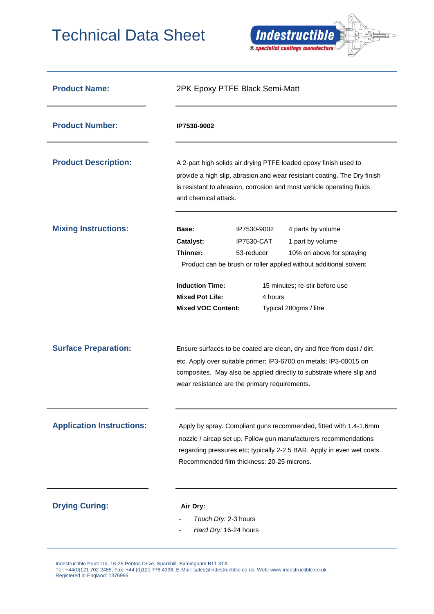## Technical Data Sheet



| <b>Product Name:</b>             | 2PK Epoxy PTFE Black Semi-Matt                                                                                                                                                                                                                                      |                                                           |                                                                                                                                                                                                     |
|----------------------------------|---------------------------------------------------------------------------------------------------------------------------------------------------------------------------------------------------------------------------------------------------------------------|-----------------------------------------------------------|-----------------------------------------------------------------------------------------------------------------------------------------------------------------------------------------------------|
| <b>Product Number:</b>           | IP7530-9002                                                                                                                                                                                                                                                         |                                                           |                                                                                                                                                                                                     |
| <b>Product Description:</b>      | A 2-part high solids air drying PTFE loaded epoxy finish used to<br>provide a high slip, abrasion and wear resistant coating. The Dry finish<br>is resistant to abrasion, corrosion and most vehicle operating fluids<br>and chemical attack.                       |                                                           |                                                                                                                                                                                                     |
| <b>Mixing Instructions:</b>      | Base:<br><b>Catalyst:</b><br>Thinner:<br><b>Induction Time:</b><br><b>Mixed Pot Life:</b><br><b>Mixed VOC Content:</b>                                                                                                                                              | IP7530-9002<br><b>IP7530-CAT</b><br>53-reducer<br>4 hours | 4 parts by volume<br>1 part by volume<br>10% on above for spraying<br>Product can be brush or roller applied without additional solvent<br>15 minutes; re-stir before use<br>Typical 280gms / litre |
| <b>Surface Preparation:</b>      | Ensure surfaces to be coated are clean, dry and free from dust / dirt<br>etc. Apply over suitable primer; IP3-6700 on metals; IP3-00015 on<br>composites. May also be applied directly to substrate where slip and<br>wear resistance are the primary requirements. |                                                           |                                                                                                                                                                                                     |
| <b>Application Instructions:</b> | Apply by spray. Compliant guns recommended, fitted with 1.4-1.6mm<br>nozzle / aircap set up. Follow gun manufacturers recommendations<br>regarding pressures etc; typically 2-2.5 BAR. Apply in even wet coats.<br>Recommended film thickness: 20-25 microns.       |                                                           |                                                                                                                                                                                                     |
| <b>Drying Curing:</b>            | Air Dry:<br>Touch Dry: 2-3 hours<br>Hard Dry: 16-24 hours                                                                                                                                                                                                           |                                                           |                                                                                                                                                                                                     |

Indestructible Paint Ltd, 16-25 Pentos Drive, Sparkhill, Birmingham B11 3TA

 Tel: +44(0)121 702 2485, Fax: +44 (0)121 778 4338, E-Mail[: sales@indestructible.co.uk,](mailto:sales@indestructible.co.uk) Web[: www.indestructible.co.uk](http://www.indestructible.co.uk/) Registered in England: 1376995